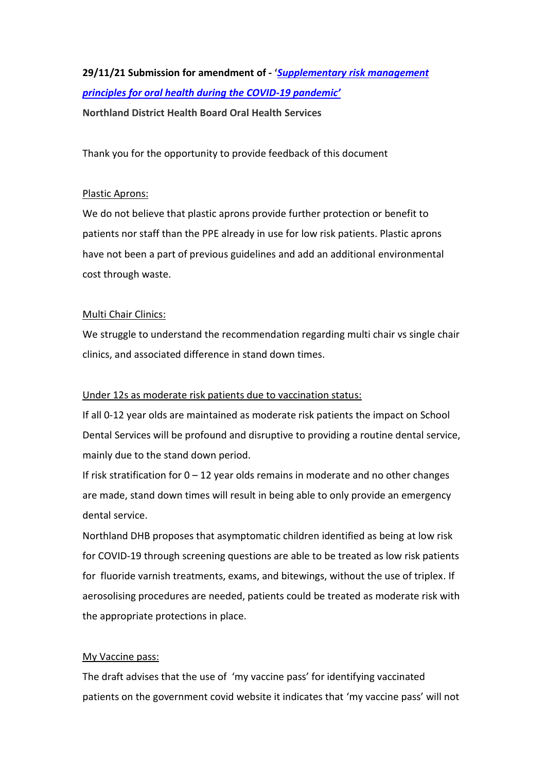# **29/11/21 Submission for amendment of - '***[Supplementary risk management](https://ddec1-0-en-ctp.trendmicro.com/wis/clicktime/v1/query?url=https%3a%2f%2fdcnz.org.nz%2fassets%2fUploads%2fConsultations%2f2021%2fCOVID%2d19%2drisk%2dmanagement%2dprinciples%2fAtt1%2dCOVID%2d19%2dsupplementary.pdf&umid=ee6d57db-21e8-4cf0-8849-332a86be162a&auth=f7972b12d75712f60536e240a8199fe335dee824-d2d3f239ce7b40916b5107caa58c3c75604b1d26)  [principles for oral health during the COVID-](https://ddec1-0-en-ctp.trendmicro.com/wis/clicktime/v1/query?url=https%3a%2f%2fdcnz.org.nz%2fassets%2fUploads%2fConsultations%2f2021%2fCOVID%2d19%2drisk%2dmanagement%2dprinciples%2fAtt1%2dCOVID%2d19%2dsupplementary.pdf&umid=ee6d57db-21e8-4cf0-8849-332a86be162a&auth=f7972b12d75712f60536e240a8199fe335dee824-d2d3f239ce7b40916b5107caa58c3c75604b1d26)19 pandemic'* **Northland District Health Board Oral Health Services**

Thank you for the opportunity to provide feedback of this document

### Plastic Aprons:

We do not believe that plastic aprons provide further protection or benefit to patients nor staff than the PPE already in use for low risk patients. Plastic aprons have not been a part of previous guidelines and add an additional environmental cost through waste.

### Multi Chair Clinics:

We struggle to understand the recommendation regarding multi chair vs single chair clinics, and associated difference in stand down times.

### Under 12s as moderate risk patients due to vaccination status:

If all 0-12 year olds are maintained as moderate risk patients the impact on School Dental Services will be profound and disruptive to providing a routine dental service, mainly due to the stand down period.

If risk stratification for  $0 - 12$  year olds remains in moderate and no other changes are made, stand down times will result in being able to only provide an emergency dental service.

Northland DHB proposes that asymptomatic children identified as being at low risk for COVID-19 through screening questions are able to be treated as low risk patients for fluoride varnish treatments, exams, and bitewings, without the use of triplex. If aerosolising procedures are needed, patients could be treated as moderate risk with the appropriate protections in place.

## My Vaccine pass:

The draft advises that the use of 'my vaccine pass' for identifying vaccinated patients on the government covid website it indicates that 'my vaccine pass' will not